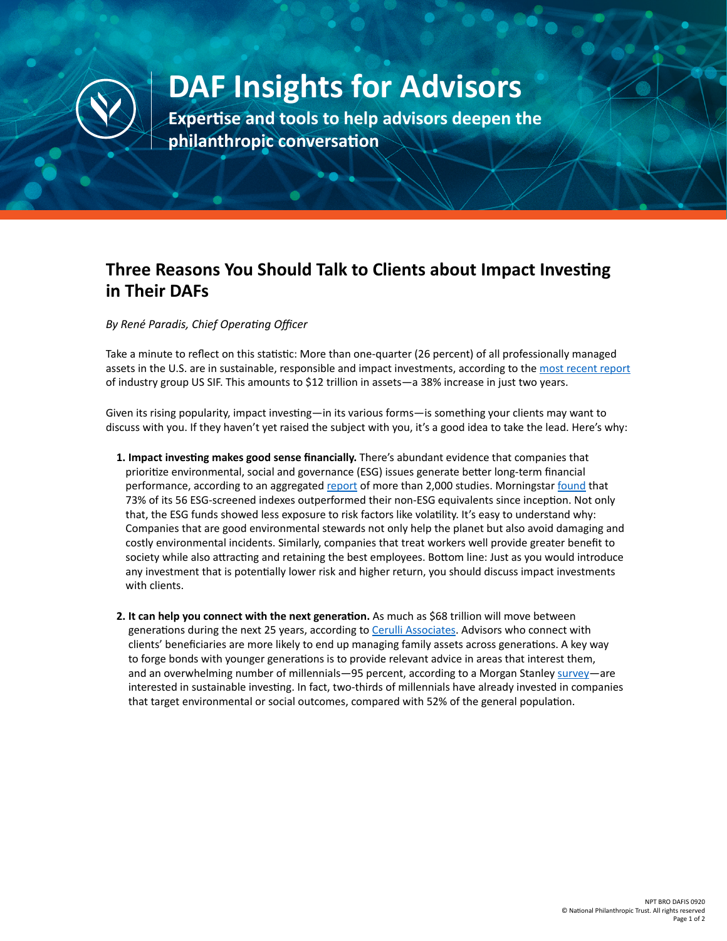

## **DAF Insights for Advisors**

**Expertise and tools to help advisors deepen the philanthropic conversation**

## **Three Reasons You Should Talk to Clients about Impact Investing in Their DAFs**

*By René Paradis, Chief Operating Officer*

Take a minute to reflect on this statistic: More than one-quarter (26 percent) of all professionally managed assets in the U.S. are in sustainable, responsible and impact investments, according to the [most recent report](https://www.ussif.org/files/2018%20Infographic%20overview%20(1).pdf) of industry group US SIF. This amounts to \$12 trillion in assets—a 38% increase in just two years.

Given its rising popularity, impact investing—in its various forms—is something your clients may want to discuss with you. If they haven't yet raised the subject with you, it's a good idea to take the lead. Here's why:

- **1. Impact investing makes good sense financially.** There's abundant evidence that companies that prioritize environmental, social and governance (ESG) issues generate better long-term financial performance, according to an aggregated [report](https://www.tandfonline.com/doi/full/10.1080/20430795.2015.1118917) of more than 2,000 studies. Morningstar [found](https://www.morningstar.com/lp/esg-indexes-exhibit-attractive-investment-attributes) that 73% of its 56 ESG-screened indexes outperformed their non-ESG equivalents since inception. Not only that, the ESG funds showed less exposure to risk factors like volatility. It's easy to understand why: Companies that are good environmental stewards not only help the planet but also avoid damaging and costly environmental incidents. Similarly, companies that treat workers well provide greater benefit to society while also attracting and retaining the best employees. Bottom line: Just as you would introduce any investment that is potentially lower risk and higher return, you should discuss impact investments with clients.
- **2. It can help you connect with the next generation.** As much as \$68 trillion will move between generations during the next 25 years, according to [Cerulli Associates.](https://info.cerulli.com/HNW-Transfer-of-Wealth-Cerulli.html) Advisors who connect with clients' beneficiaries are more likely to end up managing family assets across generations. A key way to forge bonds with younger generations is to provide relevant advice in areas that interest them, and an overwhelming number of millennials—95 percent, according to a Morgan Stanley [survey](https://www.morganstanley.com/press-releases/morgan-stanley-survey-finds-investor-enthusiasm-for-sustainable-)—are interested in sustainable investing. In fact, two-thirds of millennials have already invested in companies that target environmental or social outcomes, compared with 52% of the general population.